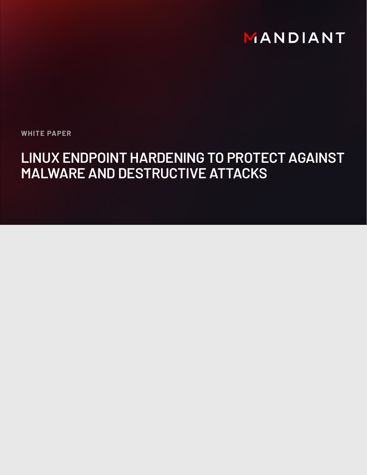# MANDIANT

**WHITE PAPER**

# **LINUX ENDPOINT HARDENING TO PROTECT AGAINST MALWARE AND DESTRUCTIVE ATTACKS**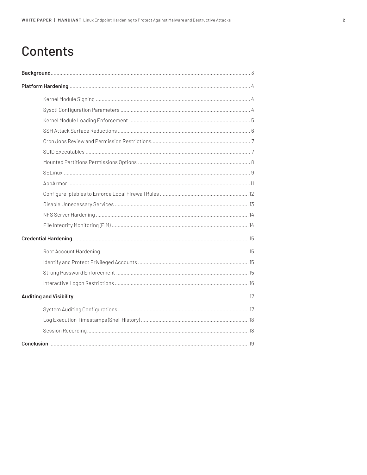## **Contents**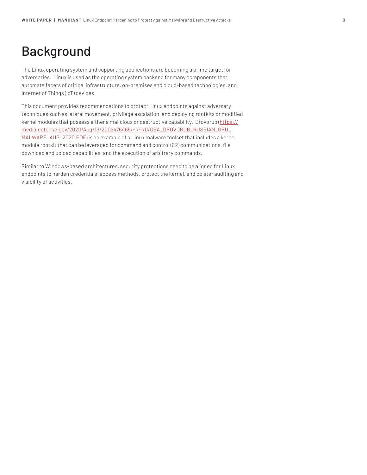## Background

The Linux operating system and supporting applications are becoming a prime target for adversaries. Linux is used as the operating system backend for many components that automate facets of critical infrastructure, on-premises and cloud-based technologies, and Internet of Things (IoT) devices.

This document provides recommendations to protect Linux endpoints against adversary techniques such as lateral movement, privilege escalation, and deploying rootkits or modified kernel modules that possess either a malicious or destructive capability. Drovorub (https:// media.defense.gov/2020/Aug/13/2002476465/-1/-1/0/CSA\_DROVORUB\_RUSSIAN\_GRU\_ MALWARE\_AUG\_2020.PDF) is an example of a Linux malware toolset that includes a kernel module rootkit that can be leveraged for command and control (C2) communications, file download and upload capabilities, and the execution of arbitrary commands.

Similar to Windows-based architectures, security protections need to be aligned for Linux endpoints to harden credentials, access methods, protect the kernel, and bolster auditing and visibility of activities.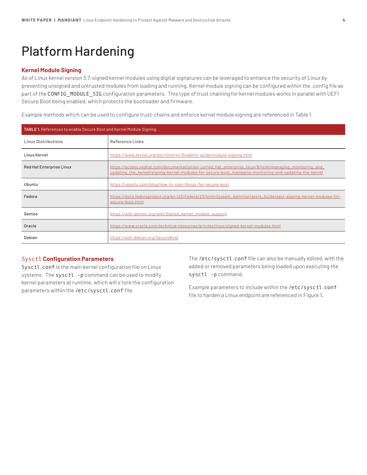## Platform Hardening

## **Kernel Module Signing**

As of Linux kernel version 3.7, signed kernel modules using digital signatures can be leveraged to enhance the security of Linux by preventing unsigned and untrusted modules from loading and running. Kernel module signing can be configured within the .config file as part of the CONFIG\_MODULE\_SIG configuration parameters. This type of trust chaining for kernel modules works in parallel with UEFI Secure Boot being enabled, which protects the bootloader and firmware.

Example methods which can be used to configure trust-chains and enforce kernel module signing are referenced in Table 1.

| TABLE 1. References to enable Secure Boot and Kernel Module Signing. |                                                                                                                                                                                                                  |  |
|----------------------------------------------------------------------|------------------------------------------------------------------------------------------------------------------------------------------------------------------------------------------------------------------|--|
| <b>Linux Distributions</b>                                           | Reference Links                                                                                                                                                                                                  |  |
| Linux Kernel                                                         | https://www.kernel.org/doc/html/v4.15/admin-quide/module-signing.html                                                                                                                                            |  |
| <b>Red Hat Enterprise Linux</b>                                      | https://access.redhat.com/documentation/en-us/red_hat_enterprise_linux/8/html/managing_monitoring_and_<br>updating_the_kernel/signing-kernel-modules-for-secure-boot_managing-monitoring-and-updating-the-kernel |  |
| Ubuntu                                                               | https://ubuntu.com/blog/how-to-sign-things-for-secure-boot                                                                                                                                                       |  |
| Fedora                                                               | https://docs.fedoraproject.org/en-US/Fedora/23/html/System_Administrators_Guide/sect-signing-kernel-modules-for-<br>secure-boot.html                                                                             |  |
| Gentoo                                                               | https://wiki.gentoo.org/wiki/Signed_kernel_module_support                                                                                                                                                        |  |
| Oracle                                                               | https://www.oracle.com/technical-resources/articles/linux/signed-kernel-modules.html                                                                                                                             |  |
| Debian                                                               | https://wiki.debian.org/SecureBoot                                                                                                                                                                               |  |

## Sysctl **Configuration Parameters**

Sysctl.conf is the main kernel configuration file on Linux systems. The sysctl -p command can be used to modify kernel parameters at runtime, which will s`tore the configuration parameters within the /etc/sysctl.conf file.

The /etc/sysctl.conf file can also be manually edited, with the added or removed parameters being loaded upon executing the sysctl -p command.

Example parameters to include within the /etc/sysctl.conf file to harden a Linux endpoint are referenced in Figure 1.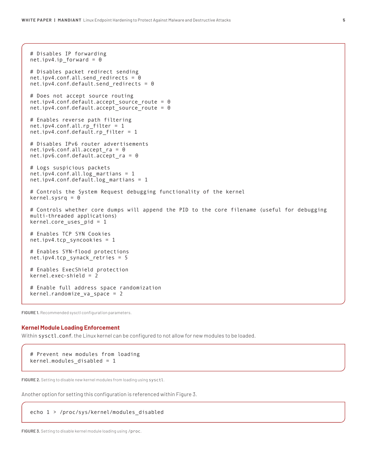```
# Disables IP forwarding
net.jpg .1p_{norm} forward = 0
# Disables packet redirect sending
net.ipv4.conf.all.send_redirects = 0
net.ipv4.conf.default.send_redirects = 0
# Does not accept source routing
net.ipv4.conf.default.accept_source_route = 0
net.ipv4.conf.default.accept_source_route = 0
# Enables reverse path filtering
net.ipv4.conf.all.rp_filter = 1
net.jpg3.conf.default.rp_filter = 1
# Disables IPv6 router advertisements
net.ipv6.conf.all.accept_ra = 0
net.ipv6.conf.default.accept_ra = 0
# Logs suspicious packets
net.ipv4.conf.all.log_martians = 1
net.ipv4.conf.default.log_martians = 1
# Controls the System Request debugging functionality of the kernel
kernel.sysrq = 0
# Controls whether core dumps will append the PID to the core filename (useful for debugging 
multi-threaded applications)
kernel.core_uses_pid = 1
# Enables TCP SYN Cookies
net.ipv4.tcp_syncookies = 1
# Enables SYN-flood protections
net.ipv4.tcp_synack_retries = 5
# Enables ExecShield protection
kernel.exec-shield = 2
# Enable full address space randomization
kernel.randomize_va_space = 2
```
**FIGURE 1.** Recommended sysctl configuration parameters.

#### **Kernel Module Loading Enforcement**

Within sysctl.conf, the Linux kernel can be configured to not allow for new modules to be loaded.

```
# Prevent new modules from loading
kernel.modules_disabled = 1
```
**FIGURE 2.** Setting to disable new kernel modules from loading using sysctl.

Another option for setting this configuration is referenced within Figure 3.

#### echo 1 > /proc/sys/kernel/modules\_disabled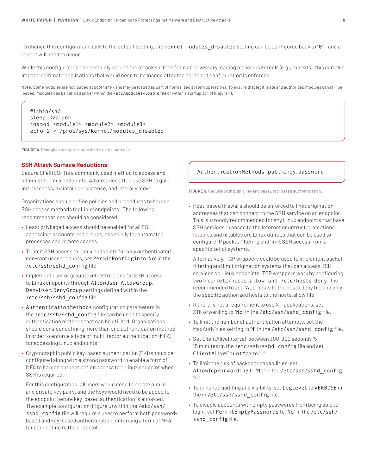To change this configuration back to the default setting, the kernel.modules\_disabled setting can be configured back to "0" - and a reboot will need to occur.

While this configuration can certainly reduce the attack surface from an adversary loading malicious kernels (e.g., rootkits), this can also impact legitimate applications that would need to be loaded after the hardened configuration is enforced.

**Note:** Some modules are not loaded at boot time – and may be loaded as part of normalized system operations. To ensure that legitimate and authorized modules can still be loaded, modules can be defined either within the /etc/modules-load.d file or within a startup script (Figure 4).

```
#!/bin/sh/
sleep <value>
insmod <module1> <module2> <module3>
echo 1 > /proc/sys/kernel/modules_disabled
```
**FIGURE 4.** Example startup script to load trusted modules.

## **SSH Attack Surface Reductions**

Secure Shell (SSH) is a commonly used method to access and administer Linux endpoints. Adversaries often use SSH to gain initial access, maintain persistence, and laterally move.

Organizations should define policies and procedures to harden SSH access methods for Linux endpoints. The following recommendations should be considered:

- Least privileged access should be enabled for all SSHaccessible accounts and groups, especially for automated processes and remote access.
- To limit SSH access to Linux endpoints for only authenticated non-root user accounts, set PermitRootLogin to "No" in the /etc/ssh/sshd\_config file.
- Implement user or group level restrictions for SSH access to Linux endpoints through AllowUser, AllowGroup, DenyUser, DenyGroup settings defined within the /etc/ssh/sshd\_config file.
- AuthenticationMethods configuration parameters in the /etc/ssh/sshd\_config file can be used to specify authentication methods that can be utilized. Organizations should consider defining more than one authentication method in order to enforce a type of multi-factor authentication (MFA) for accessing Linux endpoints.
- Cryptographic public key-based authentication (PKI) should be configured along with a strong password to enable a form of MFA to harden authentication access to a Linux endpoint when SSH is required.

For this configuration, all users would need to create public and private key pairs, and the keys would need to be added to the endpoint before key-based authentication is enforced. The example configuration (Figure 5) within the /etc/ssh/ sshd config file will require a user to perform both passwordbased and key-based authentication, enforcing a form of MFA for connecting to the endpoint.

## AuthenticationMethods publickey,password

**FIGURE 5.** Require both public key and password-based authentication.

• Host-based firewalls should be enforced to limit origination addresses that can connect to the SSH service on an endpoint. This is strongly recommended for any Linux endpoints that have SSH services exposed to the Internet or untrusted locations. Iptables and nftables are Linux utilities that can be used to configure IP packet filtering and limit SSH access from a specific set of systems.

Alternatively, TCP wrappers could be used to implement packet filtering and limit origination systems that can access SSH services on Linux endpoints. TCP wrappers work by configuring two files: /etc/hosts.allow and /etc/hosts.deny. It is recommended to add "ALL" hosts to the hosts.deny file and only the specific authorized hosts to the hosts.allow file.

- If there is not a requirement to use X11 applications, set X11Forwarding to "No" in the /etc/ssh/sshd\_config file.
- To limit the number of authentication attempts, set the MaxAuthTries setting to "4" in the /etc/ssh/sshd\_config file.
- Set ClientAliveInterval between 300-900 seconds (5- 15 minutes) in the /etc/ssh/sshd\_config file and set ClientAliveCountMax to "1".
- To limit the risk of backdoor capabilities, set AllowTcpForwarding to "No" in the /etc/ssh/sshd\_config file.
- To enhance auditing and visibility, set LogLevel to VERBOSE in the in /etc/ssh/sshd\_config file.
- To disable accounts with empty passwords from being able to login, set PermitEmptyPasswords to "No" in the /etc/ssh/ sshd\_config file.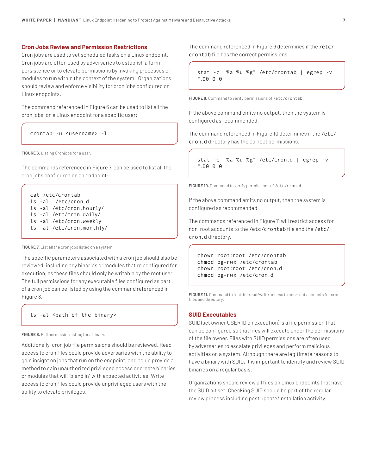## **Cron Jobs Review and Permission Restrictions**

Cron jobs are used to set scheduled tasks on a Linux endpoint. Cron jobs are often used by adversaries to establish a form persistence or to elevate permissions by invoking processes or modules to run within the context of the system. Organizations should review and enforce visibility for cron jobs configured on Linux endpoints.

The command referenced in Figure 6 can be used to list all the cron jobs lon a Linux endpoint for a specific user:

crontab -u <username> -l

**FIGURE 6.** Listing Cronjobs for a user.

The commands referenced in Figure 7 can be used to list all the cron jobs configured on an endpoint:

```
cat /etc/crontab
ls -al /etc/cron.d
ls -al /etc/cron.hourly/
ls -al /etc/cron.daily/
ls -al /etc/cron.weekly
ls -al /etc/cron.monthly/
```
**FIGURE 7.** List all the cron jobs listed on a system.

The specific parameters associated with a cron job should also be reviewed, including any binaries or modules that re configured for execution, as these files should only be writable by the root user. The full permissions for any executable files configured as part of a cron job can be listed by using the command referenced in Figure 8.

## ls -al <path of the binary>

**FIGURE 8.** Full permission listing for a binary.

Additionally, cron job file permissions should be reviewed. Read access to cron files could provide adversaries with the ability to gain insight on jobs that run on the endpoint, and could provide a method to gain unauthorized privileged access or create binaries or modules that will "blend in" with expected activities. Write access to cron files could provide unprivileged users with the ability to elevate privileges.

The command referenced in Figure 9 determines if the /etc/ crontab file has the correct permissions.

stat -c "%a %u %g" /etc/crontab | egrep -v ".00 0 0"

**FIGURE 9.** Command to verify permissions of /etc/crontab.

If the above command emits no output, then the system is configured as recommended.

The command referenced in Figure 10 determines if the /etc/ cron.d directory has the correct permissions.

stat -c "%a %u %g" /etc/cron.d | egrep -v ".00 0 0"

**FIGURE 10.** Command to verify permissions of /etc/cron.d.

If the above command emits no output, then the system is configured as recommended.

The commands referenced in Figure 11 will restrict access for non-root accounts to the /etc/crontab file and the /etc/ cron.d directory.

```
chown root:root /etc/crontab
chmod og-rwx /etc/crontab
chown root:root /etc/cron.d
chmod og-rwx /etc/cron.d
```
**FIGURE 11.** Command to restrict read/write access to non-root accounts for cron files and directory.

### **SUID Executables**

SUID (set owner USER ID on execution) is a file permission that can be configured so that files will execute under the permissions of the file owner. Files with SUID permissions are often used by adversaries to escalate privileges and perform malicious activities on a system. Although there are legitimate reasons to have a binary with SUID, it is important to identify and review SUID binaries on a regular basis.

Organizations should review all files on Linux endpoints that have the SUID bit set. Checking SUID should be part of the regular review process including post update/installation activity.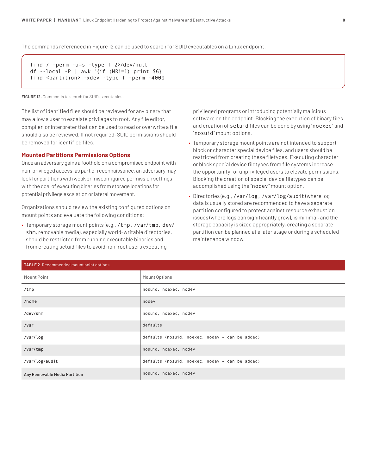The commands referenced in Figure 12 can be used to search for SUID executables on a Linux endpoint.

```
find / -perm -u=s -type f 2>/dev/null
df --local -P | awk '{if (NR!=1) print $6}
find <partition> -xdev -type f -perm -4000
```
**FIGURE 12.** Commands to search for SUID executables.

The list of identified files should be reviewed for any binary that may allow a user to escalate privileges to root. Any file editor, compiler, or interpreter that can be used to read or overwrite a file should also be reviewed. If not required, SUID permissions should be removed for identified files.

## **Mounted Partitions Permissions Options**

Once an adversary gains a foothold on a compromised endpoint with non-privileged access, as part of reconnaissance, an adversary may look for partitions with weak or misconfigured permission settings with the goal of executing binaries from storage locations for potential privilege escalation or lateral movement.

Organizations should review the existing configured options on mount points and evaluate the following conditions:

• Temporary storage mount points (e.g., /tmp, /var/tmp, dev/ shm, removable media), especially world-writable directories, should be restricted from running executable binaries and from creating setuid files to avoid non-root users executing

privileged programs or introducing potentially malicious software on the endpoint. Blocking the execution of binary files and creation of setuid files can be done by using "noexec" and "nosuid" mount options.

- Temporary storage mount points are not intended to support block or character special device files, and users should be restricted from creating these filetypes. Executing character or block special device filetypes from file systems increase the opportunity for unprivileged users to elevate permissions. Blocking the creation of special device filetypes can be accomplished using the "nodev" mount option.
- Directories (e.g., /var/log, /var/log/audit) where log data is usually stored are recommended to have a separate partition configured to protect against resource exhaustion issues (where logs can significantly grow), is minimal, and the storage capacity is sized appropriately, creating a separate partition can be planned at a later stage or during a scheduled maintenance window.

| TABLE 2. Recommended mount point options. |                                                 |  |
|-------------------------------------------|-------------------------------------------------|--|
| Mount Point                               | Mount Options                                   |  |
| /tmp                                      | nosuid, noexec, nodev                           |  |
| /home                                     | nodev                                           |  |
| /dev/shm                                  | nosuid, noexec, nodev                           |  |
| /var                                      | defaults                                        |  |
| /var/log                                  | defaults (nosuid, noexec, nodev - can be added) |  |
| /var/tmp                                  | nosuid, noexec, nodev                           |  |
| /var/log/audit                            | defaults (nosuid, noexec, nodev - can be added) |  |
| Any Removable Media Partition             | nosuid, noexec, nodev                           |  |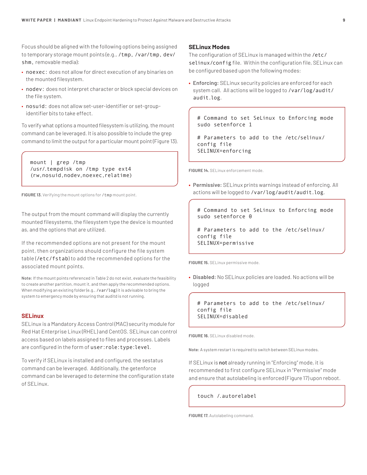Focus should be aligned with the following options being assigned to temporary storage mount points (e.g., /tmp, /var/tmp, dev/ shm, removable media):

- noexec: does not allow for direct execution of any binaries on the mounted filesystem.
- nodev: does not interpret character or block special devices on the file system.
- nosuid: does not allow set-user-identifier or set-groupidentifier bits to take effect.

To verify what options a mounted filesystem is utilizing, the mount command can be leveraged. It is also possible to include the grep command to limit the output for a particular mount point (Figure 13).

mount | grep /tmp /usr/.tempdisk on /tmp type ext4 (rw,nosuid,nodev,noexec,relatime)

FIGURE 13. Verifying the mount options for / tmp mount point.

The output from the mount command will display the currently mounted filesystems, the filesystem type the device is mounted as, and the options that are utilized.

If the recommended options are not present for the mount point, then organizations should configure the file system table (/etc/fstab) to add the recommended options for the associated mount points.

**Note:** If the mount points referenced in Table 2 do not exist, evaluate the feasibility to create another partition, mount it, and then apply the recommended options. When modifying an existing folder (e.g., /var/log) it is advisable to bring the system to emergency mode by ensuring that auditd is not running.

## **SELinux**

SELinux is a Mandatory Access Control (MAC) security module for Red Hat Enterprise Linux (RHEL) and CentOS. SELinux can control access based on labels assigned to files and processes. Labels are configured in the form of user:role:type:level.

To verify if SELinux is installed and configured, the sestatus command can be leveraged. Additionally, the getenforce command can be leveraged to determine the configuration state of SELinux.

## **SELinux Modes**

The configuration of SELinux is managed within the /etc/ selinux/config file. Within the configuration file, SELinux can be configured based upon the following modes:

**• Enforcing:** SELinux security policies are enforced for each system call. All actions will be logged to /var/log/audit/ audit.log.

# Command to set SeLinux to Enforcing mode sudo setenforce 1

# Parameters to add to the /etc/selinux/ config file SELINUX=enforcing

**FIGURE 14.** SELinux enforcement mode.

**• Permissive:** SELinux prints warnings instead of enforcing. All actions will be logged to /var/log/audit/audit.log.

# Command to set SeLinux to Enforcing mode sudo setenforce 0

# Parameters to add to the /etc/selinux/ config file SELINUX=permissive

**FIGURE 15.** SELinux permissive mode.

**• Disabled:** No SELinux policies are loaded. No actions will be logged

# Parameters to add to the /etc/selinux/ config file SELINUX=disabled

**FIGURE 16.** SELinux disabled mode.

**Note:** A system restart is required to switch between SELinux modes.

If SELinux is not already running in "Enforcing" mode, it is recommended to first configure SELinux in "Permissive" mode and ensure that autolabeling is enforced (Figure 17) upon reboot.

### touch /.autorelabel

**FIGURE 17.** Autolabeling command.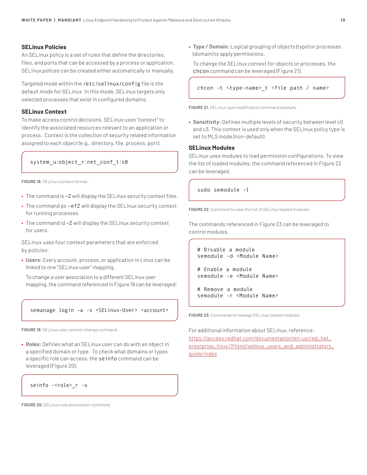## **SELinux Policies**

An SELinux policy is a set of rules that define the directories, files, and ports that can be accessed by a process or application. SELinux polices can be created either automatically or manually.

Targeted mode within the /etc/selinux/config file is the default mode for SELinux. In this mode, SELinux targets only selected processes that exist in configured domains.

## **SELinux Context**

To make access control decisions, SELinux uses "context" to identify the associated resources relevant to an application or process. Context is the collection of security related information assigned to each object (e.g., directory, file, process, port).

## system\_u:object\_r:net\_conf\_t:s0

**FIGURE 18.** SELinux context format.

- The command ls –Z will display the SELinux security context files.
- The command ps –efZ will display the SELinux security context for running processes.
- The command id –Z will display the SELinux security context for users.

SELinux uses four context parameters that are enforced by policies:

**• Users:** Every account, process, or application in Linux can be linked to one "SELinux user" mapping.

To change a user association to a different SELinux user mapping, the command referenced in Figure 19 can be leveraged:

## semanage login -a -s <SELinux-User> <account>

**FIGURE 19.** SELinux user context change command.

**• Roles:** Defines what an SELinux user can do with an object in a specified domain or type. To check what domains or types a specific role can access, the seinfo command can be leveraged (Figure 20).

seinfo -<role>\_r -x

**FIGURE 20.** SELinux role association command.

**• Type / Domain:** Logical grouping of objects (type) or processes (domain) to apply permissions.

To change the SELinux context for objects or processes, the chcon command can be leveraged (Figure 21).

#### chcon -t <type-name>\_t <file path / name>

**FIGURE 21.** SELinux type modification command example.

**• Sensitivity:** Defines multiple levels of security between level c0 and c3. This context is used only when the SELinux policy type is set to MLS mode (non-default).

## **SELinux Modules**

SELinux uses modules to load permission configurations. To view the list of loaded modules, the command referenced in Figure 22 can be leveraged.

sudo semodule -l

**FIGURE 22.** Command to view the list of SELinux loaded modules.

The commands referenced in Figure 23 can be leveraged to control modules.

```
# Disable a module
semodule -d <Module Name>
# Enable a module
semodule -e <Module Name>
```
# Remove a module semodule -r <Module Name>

**FIGURE 23.** Commands to manage SELinux loaded modules.

For additional information about SELinux, reference: https://access.redhat.com/documentation/en-us/red\_hat\_ enterprise\_linux/7/html/selinux\_users\_and\_administrators\_ guide/index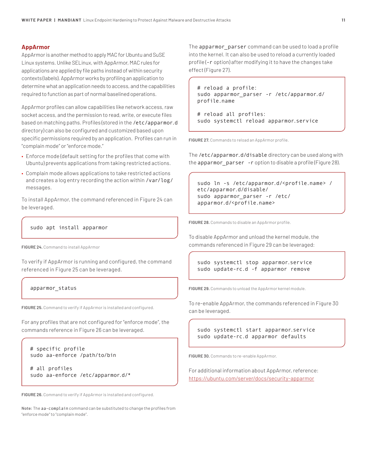## **AppArmor**

AppArmor is another method to apply MAC for Ubuntu and SuSE Linux systems. Unlike SELinux, with AppArmor, MAC rules for applications are applied by file paths instead of within security contexts (labels). AppArmor works by profiling an application to determine what an application needs to access, and the capabilities required to function as part of normal baselined operations.

AppArmor profiles can allow capabilities like network access, raw socket access, and the permission to read, write, or execute files based on matching paths. Profiles (stored in the /etc/apparmor.d directory) can also be configured and customized based upon specific permissions required by an application. Profiles can run in "complain mode" or "enforce mode."

- Enforce mode (default setting for the profiles that come with Ubuntu) prevents applications from taking restricted actions.
- Complain mode allows applications to take restricted actions and creates a log entry recording the action within /var/log/ messages.

To install AppArmor, the command referenced in Figure 24 can be leveraged.

sudo apt install apparmor

**FIGURE 24.** Command to install AppArmor

To verify if AppArmor is running and configured, the command referenced in Figure 25 can be leveraged.

apparmor\_status

**FIGURE 25.** Command to verify if AppArmor is installed and configured.

For any profiles that are not configured for "enforce mode", the commands reference in Figure 26 can be leveraged.

```
# specific profile
sudo aa-enforce /path/to/bin
```
# all profiles sudo aa-enforce /etc/apparmor.d/\*

**FIGURE 26.** Command to verify if AppArmor is installed and configured.

**Note:** The aa-complain command can be substituted to change the profiles from "enforce mode" to "complain mode".

The apparmor\_parser command can be used to load a profile into the kernel. It can also be used to reload a currently loaded profile (-r option) after modifying it to have the changes take effect (Figure 27).

# reload a profile: sudo apparmor\_parser -r /etc/apparmor.d/ profile.name

# reload all profiles: sudo systemctl reload apparmor.service

**FIGURE 27.** Commands to reload an AppArmor profile.

The /etc/apparmor.d/disable directory can be used along with the apparmor parser -r option to disable a profile (Figure 28).

```
sudo ln -s /etc/apparmor.d/<profile.name> /
etc/apparmor.d/disable/
sudo apparmor_parser -r /etc/
apparmor.d/<profile.name>
```
**FIGURE 28.** Commands to disable an AppArmor profile.

To disable AppArmor and unload the kernel module, the commands referenced in Figure 29 can be leveraged:

sudo systemctl stop apparmor.service sudo update-rc.d -f apparmor remove

**FIGURE 29.** Commands to unload the AppArmor kernel module.

To re-enable AppArmor, the commands referenced in Figure 30 can be leveraged.

sudo systemctl start apparmor.service sudo update-rc.d apparmor defaults

**FIGURE 30.** Commands to re-enable AppArmor.

For additional information about AppArmor, reference: https://ubuntu.com/server/docs/security-apparmor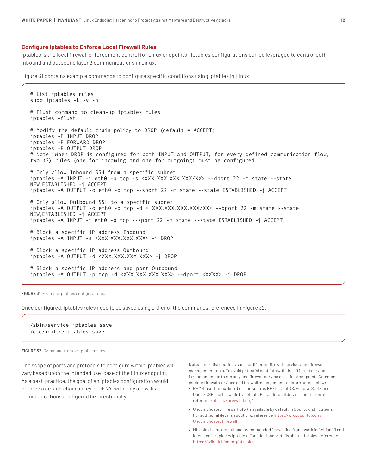#### **Configure Iptables to Enforce Local Firewall Rules**

Iptables is the local firewall enforcement control for Linux endpoints. Iptables configurations can be leveraged to control both inbound and outbound layer 3 communications in Linux.

Figure 31 contains example commands to configure specific conditions using iptables in Linux.

# List iptables rules sudo iptables -L -v -n # Flush command to clean-up iptables rules iptables –flush # Modify the default chain policy to DROP (default = ACCEPT) iptables -P INPUT DROP iptables -P FORWARD DROP iptables -P OUTPUT DROP # Note: When DROP is configured for both INPUT and OUTPUT, for every defined communication flow, two (2) rules (one for incoming and one for outgoing) must be configured. # Only allow Inbound SSH from a specific subnet iptables -A INPUT -i eth0 -p tcp -s <XXX.XXX.XXX.XXX/XX> --dport 22 -m state --state NEW,ESTABLISHED -j ACCEPT iptables -A OUTPUT -o eth0 -p tcp --sport 22 -m state --state ESTABLISHED -j ACCEPT # Only allow Outbound SSH to a specific subnet iptables -A OUTPUT -o eth0 -p tcp -d < XXX.XXX.XXX.XXX/XX> --dport 22 -m state --state NEW,ESTABLISHED -j ACCEPT iptables -A INPUT -i eth0 -p tcp --sport 22 -m state --state ESTABLISHED -j ACCEPT # Block a specific IP address Inbound iptables -A INPUT -s <XXX.XXX.XXX.XXX> -j DROP # Block a specific IP address Outbound iptables -A OUTPUT -d <XXX.XXX.XXX.XXX> -j DROP # Block a specific IP address and port Outbound iptables -A OUTPUT -p tcp -d <XXX.XXX.XXX.XXX> --dport <XXXX> -j DROP

**FIGURE 31.** Example iptables configurations.

Once configured, iptables rules need to be saved using either of the commands referenced in Figure 32.

/sbin/service iptables save /etc/init.d/iptables save

**FIGURE 32.** Commands to save iptables rules.

The scope of ports and protocols to configure within iptables will vary based upon the intended use-case of the Linux endpoint. As a best-practice, the goal of an iptables configuration would enforce a default chain policy of DENY, with only allow-list communications configured bi-directionally.

**Note:** Linux distributions can use different firewall services and firewall management tools. To avoid potential conflicts with the different services, it is recommended to run only one firewall service on a Linux endpoint. Common modern firewall services and firewall management tools are noted below:

- RPM-based Linux distributions such as RHEL, CentOS, Fedora, SUSE and OpenSUSE use firewalld by default. For additional details about firewalld, reference https://firewalld.org/
- Uncomplicated Firewall (ufw) is available by default in Ubuntu distributions. For additional details about ufw, reference https://wiki.ubuntu.com/ UncomplicatedFirewall
- Nftables is the default and recommended firewalling framework in Debian 10 and later, and it replaces iptables. For additional details about nftables, reference https://wiki.debian.org/nftables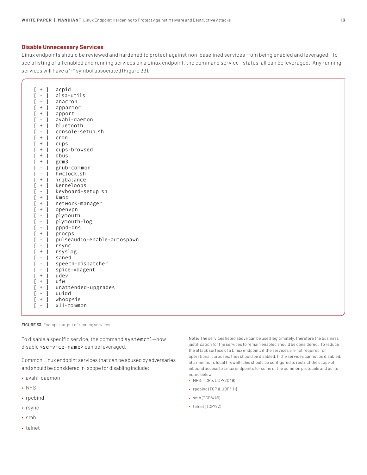## **Disable Unnecessary Services**

Linux endpoints should be reviewed and hardened to protect against non-baselined services from being enabled and leveraged. To see a listing of all enabled and running services on a Linux endpoint, the command service—status-all can be leveraged. Any running services will have a "+" symbol associated (Figure 33).

| ſ<br>J<br>$\ddot{}$                                                     | acpid                       |
|-------------------------------------------------------------------------|-----------------------------|
| ſ<br>$\lceil$<br>-                                                      | alsa-utils                  |
| ĺ<br>$\overline{\phantom{a}}$<br>$\overline{\phantom{a}}$               | anacron                     |
| ĺ<br>$\overline{\phantom{a}}$<br>$^+$                                   | apparmor                    |
| ĺ<br>$\begin{array}{c} \end{array}$<br>$^{+}$                           | apport                      |
| ĺ<br>J<br>$\overline{\phantom{0}}$                                      | avahi-daemon                |
| ĺ<br>$\mathbf{l}$                                                       | bluetooth                   |
| ĺ<br>I<br>$\overline{\phantom{a}}$                                      | console-setup.sh            |
| ĺ<br>$\mathbf{l}$<br>$^+$                                               | cron                        |
| ĺ<br>$\begin{array}{c} \end{array}$<br>$^{+}$                           | cups                        |
| ĺ<br>$\begin{array}{c} \end{array}$<br>$^{+}$                           | cups-browsed                |
| ĺ<br>$\begin{array}{c} \end{array}$<br>$\qquad \qquad +$                | dbus                        |
| ĺ<br>J                                                                  | gdm3                        |
| ĺ<br>J<br>$\overline{\phantom{a}}$                                      | grub-common                 |
| ĺ<br>J<br>$\qquad \qquad -$                                             | hwclock.sh                  |
| ĺ<br>$\mathbf{l}$<br>$^{+}$                                             | irqbalance                  |
| ĺ<br>$\begin{array}{c} \end{array}$<br>$^{+}$                           | kerneloops                  |
| ĺ<br>J<br>$\overline{\phantom{m}}$                                      | keyboard-setup.sh           |
| ĺ<br>$\mathbf{l}$                                                       | kmod                        |
| ĺ<br>J<br>$\ddot{}$                                                     | network-manager             |
| [<br>$\begin{array}{c} \end{array}$<br>$\ddot{}$                        | openvpn                     |
| ĺ<br>J<br>$\overline{\phantom{m}}$                                      | plymouth                    |
| [<br>J<br>$\overline{\phantom{a}}$                                      | plymouth-log                |
| [<br>J<br>$\overline{\phantom{a}}$                                      | pppd-dns                    |
| ĺ<br>J<br>$^{+}$                                                        | procps                      |
| [<br>J<br>$\overline{\phantom{a}}$                                      | pulseaudio-enable-autospawn |
| [<br>J<br>$\overline{\phantom{a}}$                                      | rsync                       |
| ĺ<br>J<br>$\begin{array}{c} + \end{array}$                              | rsyslog                     |
| J<br>[<br>$\overline{\phantom{m}}$                                      | saned                       |
| ĺ<br>J<br>$\overline{\phantom{a}}$                                      | speech-dispatcher           |
| ĺ<br>J<br>$\overline{\phantom{a}}$                                      | spice-vdagent               |
| ĺ<br>$\begin{array}{c} \end{array}$                                     | udev                        |
| ĺ<br>J<br>$^{+}$                                                        | ufw                         |
| ĺ<br>$\begin{array}{c} \end{array}$<br>$\begin{array}{c} + \end{array}$ | unattended-upgrades         |
| ĺ<br>I<br>$\overline{\phantom{a}}$                                      | uuidd                       |
| ĺ<br>$\lceil$<br>$^{+}$                                                 | whoopsie                    |
| ĺ<br>I<br>$\overline{\phantom{0}}$                                      | $x11$ -common               |
|                                                                         |                             |

**FIGURE 33.** Example output of running services.

To disable a specific service, the command systemctl—now disable <service-name> can be leveraged.

Common Linux endpoint services that can be abused by adversaries and should be considered in-scope for disabling include:

- avahi-daemon
- NFS
- rpcbind
- rsync
- smb
- telnet

**Note:** The services listed above can be used legitimately, therefore the business justification for the services to remain enabled should be considered. To reduce the attack surface of a Linux endpoint, if the services are not required for operational purposes, they should be disabled. If the services cannot be disabled, at a minimum, local firewall rules should be configured to restrict the scope of inbound access to Linux endpoints for some of the common protocols and ports noted below.

- NFS (TCP & UDP/2049)
- rpcbind (TCP & UDP/111)
- smb(TCP/445)
- telnet (TCP/22)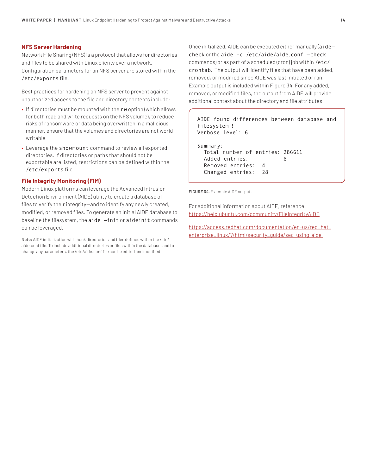## **NFS Server Hardening**

Network File Sharing (NFS) is a protocol that allows for directories and files to be shared with Linux clients over a network.

Configuration parameters for an NFS server are stored within the /etc/exports file.

Best practices for hardening an NFS server to prevent against unauthorized access to the file and directory contents include:

- If directories must be mounted with the rw option (which allows for both read and write requests on the NFS volume), to reduce risks of ransomware or data being overwritten in a malicious manner. ensure that the volumes and directories are not worldwritable
- Leverage the showmount command to review all exported directories. If directories or paths that should not be exportable are listed, restrictions can be defined within the /etc/exports file.

## **File Integrity Monitoring (FIM)**

Modern Linux platforms can leverage the Advanced Intrusion Detection Environment (AIDE) utility to create a database of files to verify their integrity—and to identify any newly created, modified, or removed files. To generate an initial AIDE database to baseline the filesystem, the aide —init or aideinit commands can be leveraged.

**Note:** AIDE initialization will check directories and files defined within the /etc/ aide.conf file. To include additional directories or files within the database, and to change any parameters, the /etc/aide.conf file can be edited and modified.

Once initialized, AIDE can be executed either manually (aide check or the aide -c /etc/aide/aide.conf —check commands) or as part of a scheduled (cron) job within /etc/ crontab. The output will identify files that have been added, removed, or modified since AIDE was last initiated or ran. Example output is included within Figure 34. For any added, removed, or modified files, the output from AIDE will provide additional context about the directory and file attributes.

## AIDE found differences between database and filesystem!! Verbose level: 6

Summary: Total number of entries: 286611 Added entries: 8 Removed entries: 4 Changed entries: 28

**FIGURE 34.** Example AIDE output.

For additional information about AIDE, reference: https://help.ubuntu.com/community/FileIntegrityAIDE

https://access.redhat.com/documentation/en-us/red\_hat\_ enterprise\_linux/7/html/security\_guide/sec-using-aide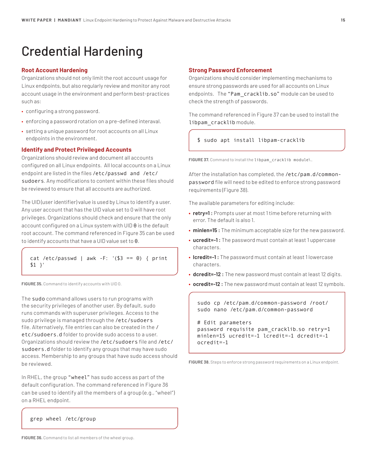## Credential Hardening

## **Root Account Hardening**

Organizations should not only limit the root account usage for Linux endpoints, but also regularly review and monitor any root account usage in the environment and perform best-practices such as:

- configuring a strong password.
- enforcing a password rotation on a pre-defined interaval.
- setting a unique password for root accounts on all Linux endpoints in the environment.

### **Identify and Protect Privileged Accounts**

Organizations should review and document all accounts configured on all Linux endpoints. All local accounts on a Linux endpoint are listed in the files /etc/passwd and /etc/ sudoers. Any modifications to content within these files should be reviewed to ensure that all accounts are authorized.

The UID (user identifier) value is used by Linux to identify a user. Any user account that has the UID value set to 0 will have root privileges. Organizations should check and ensure that the only account configured on a Linux system with UID 0 is the default root account. The command referenced in Figure 35 can be used to identify accounts that have a UID value set to 0.

cat /etc/passwd | awk -F:  $'(33 == 0)$  { print \$1 }'

**FIGURE 35.** Command to identify accounts with UID 0.

The sudo command allows users to run programs with the security privileges of another user. By default, sudo runs commands with superuser privileges. Access to the sudo privilege is managed through the /etc/sudoers file. Alternatively, file entries can also be created in the / etc/sudoers.d folder to provide sudo access to a user. Organizations should review the /etc/sudoers file and /etc/ sudoers.d folder to identify any groups that may have sudo access. Membership to any groups that have sudo access should be reviewed.

In RHEL, the group "wheel" has sudo access as part of the default configuration. The command referenced in Figure 36 can be used to identify all the members of a group (e.g., "wheel") on a RHEL endpoint.

### grep wheel /etc/group

**FIGURE 36.** Command to list all members of the wheel group.

### **Strong Password Enforcement**

Organizations should consider implementing mechanisms to ensure strong passwords are used for all accounts on Linux endpoints. The "Pam\_cracklib.so" module can be used to check the strength of passwords.

The command referenced in Figure 37 can be used to install the libpam\_cracklib module.

\$ sudo apt install libpam-cracklib

FIGURE 37. Command to install the libpam\_cracklib\_module\.

After the installation has completed, the /etc/pam.d/commonpassword file will need to be edited to enforce strong password requirements (Figure 38).

The available parameters for editing include:

- **• retry=1 :** Prompts user at most 1 time before returning with error. The default is also 1.
- **• minlen=15 :** The minimum acceptable size for the new password.
- **• ucredit=-1 :** The password must contain at least 1 uppercase characters.
- **• lcredit=-1 :** The password must contain at least 1 lowercase characters.
- **• dcredit=-12 :** The new password must contain at least 12 digits.
- **• ocredit=-12 :** The new password must contain at least 12 symbols.

sudo cp /etc/pam.d/common-password /root/ sudo nano /etc/pam.d/common-password

# Edit parameters password requisite pam\_cracklib.so retry=1 minlen=15 ucredit=-1 lcredit=-1 dcredit=-1 ocredit=-1

**FIGURE 38.** Steps to enforce strong password requirements on a Linux endpoint.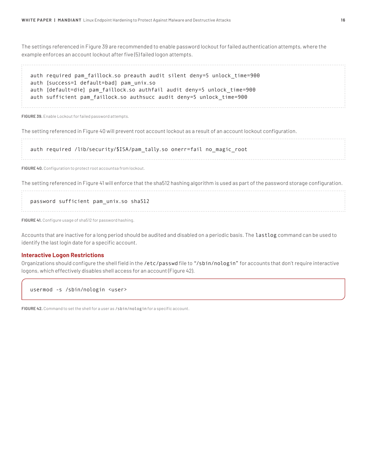The settings referenced in Figure 39 are recommended to enable password lockout for failed authentication attempts, where the example enforces an account lockout after five (5) failed logon attempts.

auth required pam\_faillock.so preauth audit silent deny=5 unlock\_time=900 auth [success=1 default=bad] pam\_unix.so auth [default=die] pam\_faillock.so authfail audit deny=5 unlock\_time=900 auth sufficient pam\_faillock.so authsucc audit deny=5 unlock\_time=900

**FIGURE 39.** Enable Lockout for failed password attempts.

The setting referenced in Figure 40 will prevent root account lockout as a result of an account lockout configuration.

auth required /lib/security/\$ISA/pam\_tally.so onerr=fail no\_magic\_root

**FIGURE 40.** Configuration to protect root accountsa from lockout.

The setting referenced in Figure 41 will enforce that the sha512 hashing algorithm is used as part of the password storage configuration. 

#### password sufficient pam\_unix.so sha512

**FIGURE 41.** Configure usage of sha512 for password hashing.

Accounts that are inactive for a long period should be audited and disabled on a periodic basis. The lastlog command can be used to identify the last login date for a specific account.

## **Interactive Logon Restrictions**

Organizations should configure the shell field in the /etc/passwd file to "/sbin/nologin" for accounts that don't require interactive logons, which effectively disables shell access for an account (Figure 42).

usermod -s /sbin/nologin <user>

**FIGURE 42.** Command to set the shell for a user as /sbin/nologin for a specific account.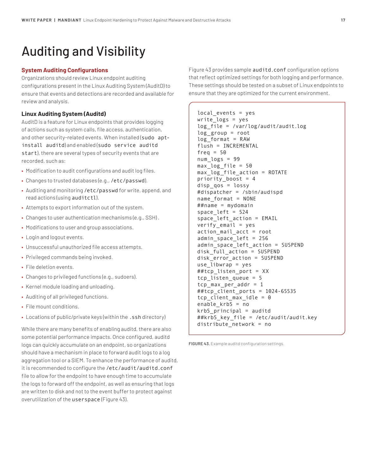## Auditing and Visibility

## **System Auditing Configurations**

Organizations should review Linux endpoint auditing configurations present in the Linux Auditing System (AuditD) to ensure that events and detections are recorded and available for review and analysis.

## **Linux Auditing System (Auditd)**

AuditD is a feature for Linux endpoints that provides logging of actions such as system calls, file access, authentication, and other security-related events. When installed (sudo aptinstall auditd) and enabled (sudo service auditd start), there are several types of security events that are recorded, such as:

- Modification to audit configurations and audit log files.
- Changes to trusted databases (e.g., /etc/passwd).
- Auditing and monitoring /etc/passwd for write, append, and read actions (using auditctl).
- Attempts to export information out of the system.
- Changes to user authentication mechanisms (e.g., SSH) .
- Modifications to user and group associations.
- Login and logout events.
- Unsuccessful unauthorized file access attempts.
- Privileged commands being invoked.
- File deletion events.
- Changes to privileged functions (e.g., sudoers).
- Kernel module loading and unloading.
- Auditing of all privileged functions.
- File mount conditions.
- Locations of public/private keys (within the .ssh directory)

While there are many benefits of enabling auditd, there are also some potential performance impacts. Once configured, auditd logs can quickly accumulate on an endpoint, so organizations should have a mechanism in place to forward audit logs to a log aggregation tool or a SIEM. To enhance the performance of auditd, it is recommended to configure the /etc/audit/auditd.conf file to allow for the endpoint to have enough time to accumulate the logs to forward off the endpoint, as well as ensuring that logs are written to disk and not to the event buffer to protect against overutilization of the userspace (Figure 43).

Figure 43 provides sample auditd.conf configuration options that reflect optimized settings for both logging and performance. These settings should be tested on a subset of Linux endpoints to ensure that they are optimized for the current environment.

```
local_events = yes
write_logs = yes
log file = /var/log/audit/audit.log
log_group = root
log format = RAW
flush = INCREMENTAL
freq = 50num logs = 99
max log file = 50max_log_file_action = ROTATE
priority boost = 4disp_qos = lossy
#dispatcher = /sbin/audispd
name_format = NONE
##name = mydomain
space_left = 524space_left_action = EMAIL
verify_email = yes
action_mail_acct = root
admin_space_left = 256
admin_space_left_action = SUSPEND
disk full action = SUSPEND
disk_error_action = SUSPEND
use libwrap = yes##tcp_listen_port = XX
tcp_listen_queue = 5
tcp max per addr = 1##tcp_client_ports = 1024-65535
tcp client max idle = 0
enable_krb5 = no
krb5_principal = auditd
##krb5_key_file = /etc/audit/audit.key
distribute network = no
```
**FIGURE 43.** Example auditd configuration settings.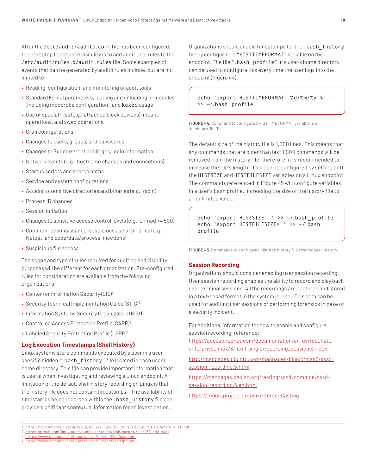After the /etc/audit/auditd.conf file has been configured, the next step to enhance visibility is to add additional rules to the /etc/audit/rules.d/audit.rules file. Some examples of events that can be generated by auditd rules include, but are not limited to:

- Reading, configuration, and monitoring of audit tools
- Standard kernel parameters, loading and unloading of modules (including modprobe configuration), and kexec usage
- Use of special files (e.g., attached block devices), mount operations, and swap operations
- Cron configurations
- Changes to users, groups, and passwords
- Changes to Sudoers/root privileges, login information
- Network events (e.g., hostname changes and connections)
- Startup scripts and search paths
- Service and system configurations
- Access to sensitive directories and binaries (e.g., /sbin)
- Process ID changes
- Session initiation
- Changes to sensitive access control levels (e.g., chmod >= 500)
- Common reconnaissance, suspicious use of binaries (e.g., Netcat, and code/data/process injections)
- Suspicious file access

The scope and type of rules required for auditing and visibility purposes will be different for each organization. Pre-configured rules for consideration are available from the following organizations:

- Center for Information Security (CIS)<sup>1</sup>
- Security Technical Implementation Guide (STIG)2
- Information Systems Security Organization (ISSO)
- Controlled Access Protection Profile (CAPP)3
- Labeled Security Protection Profile (LSPP)4

#### **Log Execution Timestamps (Shell History)**

Linux systems store commands executed by a user in a userspecific hidden ".bash history" file located in each user's home directory. This file can provide important information that is useful when investigating and reviewing a Linux endpoint. A limitation of the default shell history recording on Linux is that the history file does not contain timestamps. The availability of timestamps being recorded within the .bash\_history file can provide significant contextual information for an investigation.

Organizations should enable timestamps for the .bash\_history file by configuring a "HISTTIMEFORMAT" variable on the endpoint. The file ".bash\_profile" in a user's home directory can be used to configure this every time the user logs into the endpoint (Figure 44).

echo 'export HISTTIMEFORMAT="%d/%m/%y %T "' >> ~/.bash\_profile

**FIGURE 44.** Command to configure \$HISTTIMEFORMAT variable in a .bash\_profile file.

The default size of the history file is 1,000 lines. This means that any commands that are older than last 1,000 commands will be removed from the history file; therefore, it is recommended to increase the file's length. This can be configured by setting both the HISTSIZE and HISTFILESIZE variables on a Linux endpoint. The commands referenced in Figure 45 will configure variables in a user's bash profile, increasing the size of the history file to an unlimited value.

echo 'export HISTSIZE= ' >> ~/.bash\_profile echo 'export HISTFILESIZE= ' >> ~/.bash\_ profile

**FIGURE 45.** Commands to configure unlimited history file size for bash history.

#### **Session Recording**

Organizations should consider enabling user session recording. User session recording enables the ability to record and play back user terminal sessions. All the recordings are captured and stored in a text-based format in the system journal. This data can be used for auditing user sessions or performing forensics in case of a security incident.

For additional information for how to enable and configure session recording, reference:

https://access.redhat.com/documentation/en-us/red\_hat\_ enterprise\_linux/8/html-single/recording\_sessions/index

http://manpages.ubuntu.com/manpages/bionic/man5/sssdsession-recording.5.html

https://manpages.debian.org/testing/sssd-common/sssdsession-recording.5.en.html

https://fedoraproject.org/wiki/ScreenCasting

3 https://www.commoncriteriaportal.org/files/ppfiles/capp.pdf

<sup>1</sup> https://benchmarks.cisecurity.org/tools2/linux/CIS\_CentOS\_Linux\_7\_Benchmark\_v1.1.0.pdf

<sup>2</sup> https://github.com/linux-audit/audit-userspace/blob/master/rules/30-stig.rules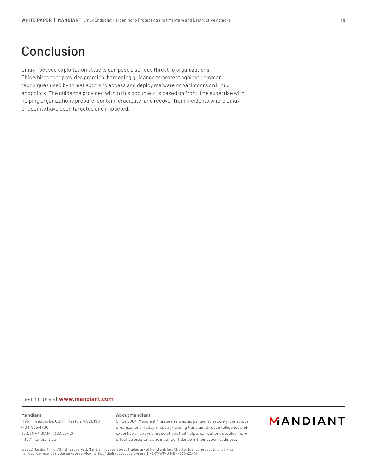## Conclusion

Linux-focused exploitation attacks can pose a serious threat to organizations. This whitepaper provides practical hardening guidance to protect against common techniques used by threat actors to access and deploy malware or backdoors on Linux endpoints. The guidance provided within this document is based on front-line expertise with helping organizations prepare, contain, eradicate, and recover from incidents where Linux endpoints have been targeted and impacted.

#### Learn more at **www.mandiant.com**

## **Mandiant**

11951 Freedom Dr, 6th Fl, Reston, VA 20190 (703) 935-1700 833.3MANDIANT (362.6342) info@mandiant.com

#### **About Mandiant**

Since 2004, Mandiant® has been a trusted partner to security-conscious organizations. Today, industry-leading Mandiant threat intelligence and expertise drive dynamic solutions that help organizations develop more effective programs and instill confidence in their cyber readiness.

## MANDIANT

©2022 Mandiant, Inc. All rights reserved. Mandiant is a registered trademark of Mandiant, Inc. All other brands, products, or service names are or may be trademarks or service marks of their respective owners. M-EXT-WP-US-EN-000422-01